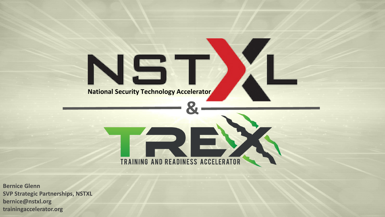## **National Security Technology Accelerator**

TRAINING AND READINESS ACCELERATOR

**&**

**Bernice Glenn SVP Strategic Partnerships, NSTXL bernice@nstxl.org trainingaccelerator.org**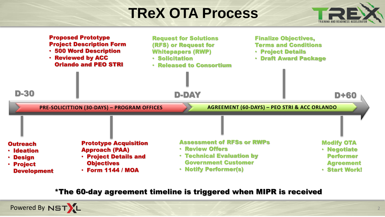## **TReX OTA Process**





\*The 60-day agreement timeline is triggered when MIPR is received